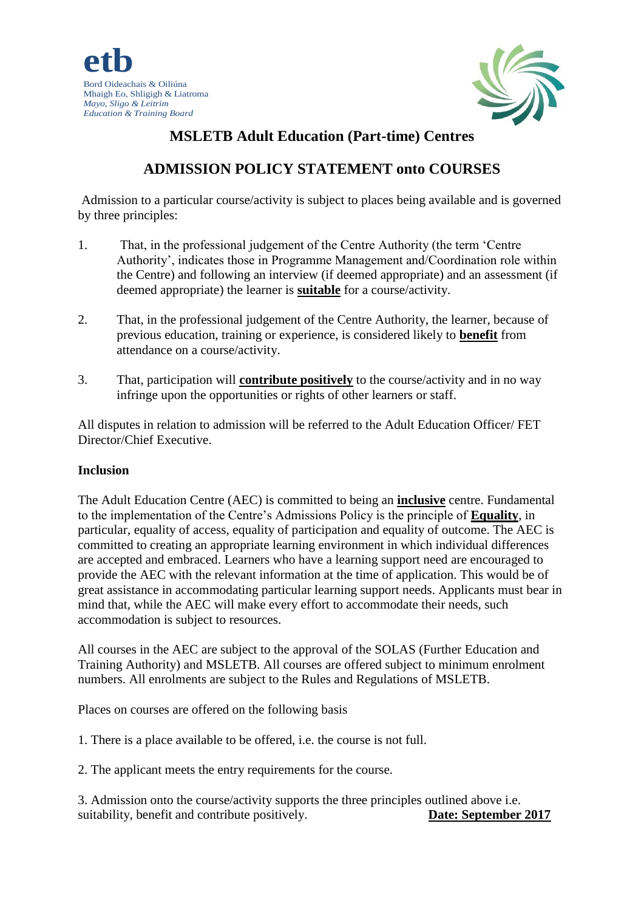

# **MSLETB Adult Education (Part-time) Centres**

# **ADMISSION POLICY STATEMENT onto COURSES**

Admission to a particular course/activity is subject to places being available and is governed by three principles:

- 1. That, in the professional judgement of the Centre Authority (the term 'Centre Authority', indicates those in Programme Management and/Coordination role within the Centre) and following an interview (if deemed appropriate) and an assessment (if deemed appropriate) the learner is **suitable** for a course/activity.
- 2. That, in the professional judgement of the Centre Authority, the learner, because of previous education, training or experience, is considered likely to **benefit** from attendance on a course/activity.
- 3. That, participation will **contribute positively** to the course/activity and in no way infringe upon the opportunities or rights of other learners or staff.

All disputes in relation to admission will be referred to the Adult Education Officer/ FET Director/Chief Executive.

#### **Inclusion**

The Adult Education Centre (AEC) is committed to being an **inclusive** centre. Fundamental to the implementation of the Centre's Admissions Policy is the principle of **Equality**, in particular, equality of access, equality of participation and equality of outcome. The AEC is committed to creating an appropriate learning environment in which individual differences are accepted and embraced. Learners who have a learning support need are encouraged to provide the AEC with the relevant information at the time of application. This would be of great assistance in accommodating particular learning support needs. Applicants must bear in mind that, while the AEC will make every effort to accommodate their needs, such accommodation is subject to resources.

All courses in the AEC are subject to the approval of the SOLAS (Further Education and Training Authority) and MSLETB. All courses are offered subject to minimum enrolment numbers. All enrolments are subject to the Rules and Regulations of MSLETB.

Places on courses are offered on the following basis

1. There is a place available to be offered, i.e. the course is not full.

2. The applicant meets the entry requirements for the course.

3. Admission onto the course/activity supports the three principles outlined above i.e. suitability, benefit and contribute positively. **Date: September 2017**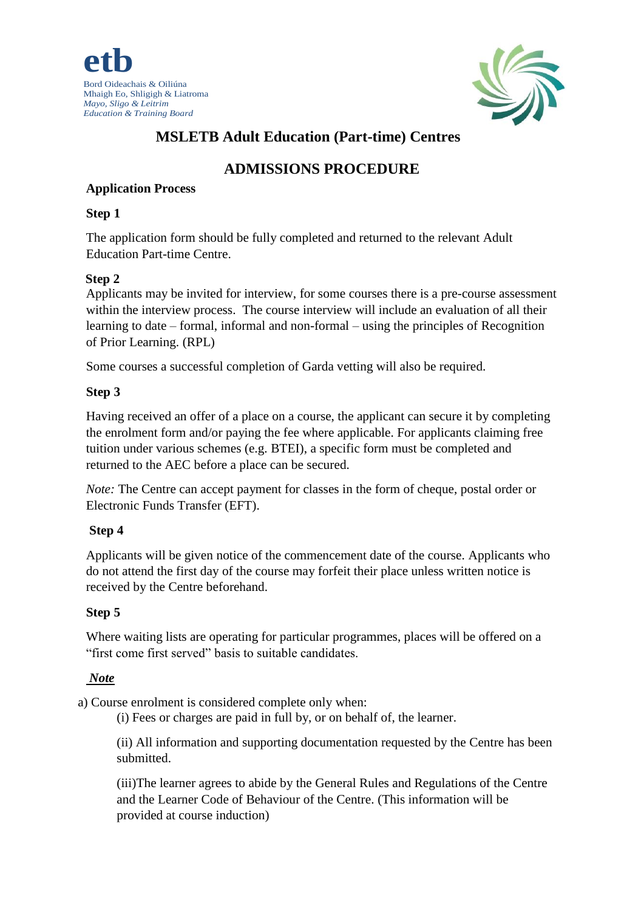



# **MSLETB Adult Education (Part-time) Centres**

# **ADMISSIONS PROCEDURE**

#### **Application Process**

#### **Step 1**

The application form should be fully completed and returned to the relevant Adult Education Part-time Centre.

### **Step 2**

Applicants may be invited for interview, for some courses there is a pre-course assessment within the interview process. The course interview will include an evaluation of all their learning to date – formal, informal and non-formal – using the principles of Recognition of Prior Learning. (RPL)

Some courses a successful completion of Garda vetting will also be required.

### **Step 3**

Having received an offer of a place on a course, the applicant can secure it by completing the enrolment form and/or paying the fee where applicable. For applicants claiming free tuition under various schemes (e.g. BTEI), a specific form must be completed and returned to the AEC before a place can be secured.

*Note:* The Centre can accept payment for classes in the form of cheque, postal order or Electronic Funds Transfer (EFT).

# **Step 4**

Applicants will be given notice of the commencement date of the course. Applicants who do not attend the first day of the course may forfeit their place unless written notice is received by the Centre beforehand.

# **Step 5**

Where waiting lists are operating for particular programmes, places will be offered on a "first come first served" basis to suitable candidates.

# *Note*

a) Course enrolment is considered complete only when:

(i) Fees or charges are paid in full by, or on behalf of, the learner.

(ii) All information and supporting documentation requested by the Centre has been submitted.

(iii)The learner agrees to abide by the General Rules and Regulations of the Centre and the Learner Code of Behaviour of the Centre. (This information will be provided at course induction)